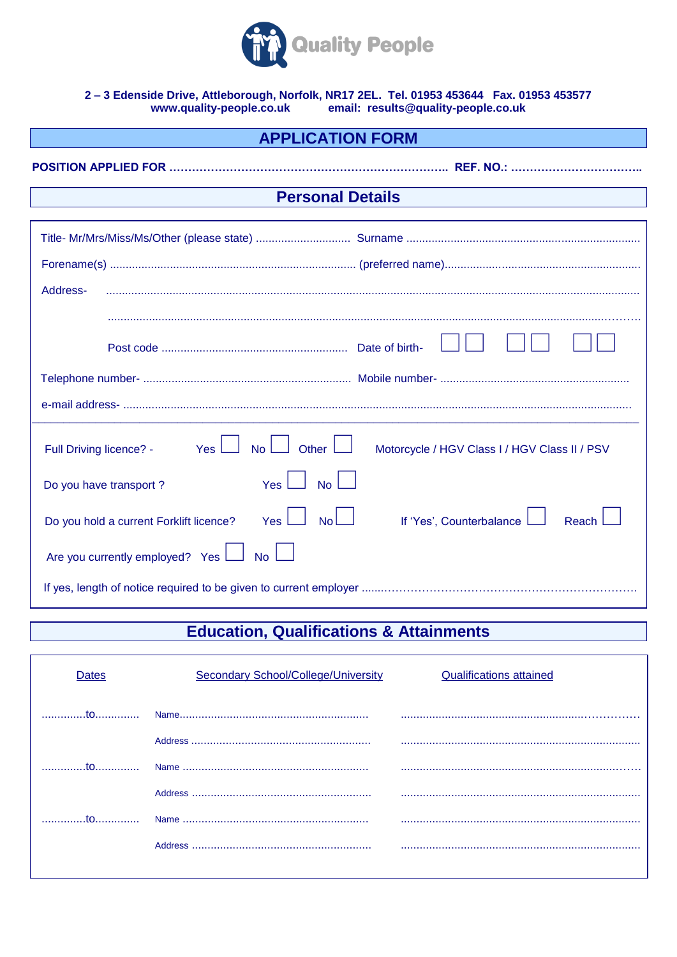

# 2-3 Edenside Drive, Attleborough, Norfolk, NR17 2EL. Tel. 01953 453644 Fax. 01953 453577<br>www.quality-people.co.uk email: results@quality-people.co.uk

| <b>APPLICATION FORM</b> |  |
|-------------------------|--|
|-------------------------|--|

| <b>Personal Details</b>                                                                                           |  |  |  |
|-------------------------------------------------------------------------------------------------------------------|--|--|--|
|                                                                                                                   |  |  |  |
|                                                                                                                   |  |  |  |
|                                                                                                                   |  |  |  |
| Address-                                                                                                          |  |  |  |
|                                                                                                                   |  |  |  |
|                                                                                                                   |  |  |  |
|                                                                                                                   |  |  |  |
|                                                                                                                   |  |  |  |
| Other $\lfloor$<br>Yes  <br><b>No</b><br>Full Driving licence? -<br>Motorcycle / HGV Class I / HGV Class II / PSV |  |  |  |
| No <sub>l</sub><br>Yes<br>Do you have transport?                                                                  |  |  |  |
| Yes<br>No<br>If 'Yes', Counterbalance<br>Do you hold a current Forklift licence?<br>Reach                         |  |  |  |
| Are you currently employed? Yes<br><b>No</b>                                                                      |  |  |  |
|                                                                                                                   |  |  |  |

## **Education, Qualifications & Attainments**

| Jates              | Secondary School/College/University | <b>Qualifications attained</b> |
|--------------------|-------------------------------------|--------------------------------|
|                    |                                     |                                |
|                    |                                     |                                |
|                    |                                     |                                |
|                    |                                     |                                |
| $\dots$ to $\dots$ |                                     |                                |
|                    |                                     |                                |
|                    |                                     |                                |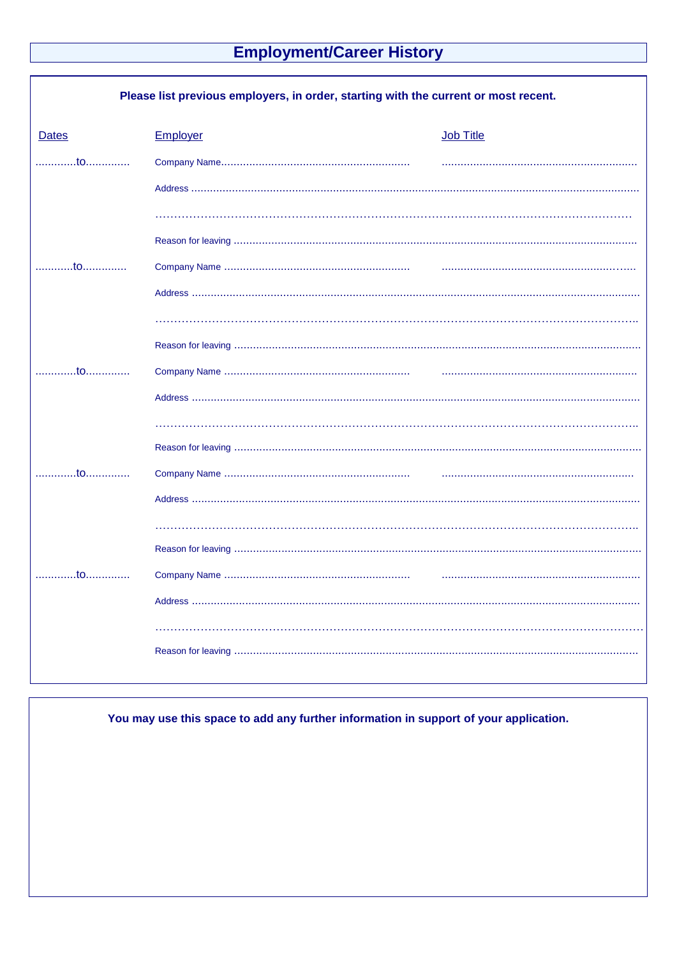## **Employment/Career History**

| Please list previous employers, in order, starting with the current or most recent. |          |           |  |
|-------------------------------------------------------------------------------------|----------|-----------|--|
| <b>Dates</b>                                                                        | Employer | Job Title |  |
| to                                                                                  |          |           |  |
|                                                                                     |          |           |  |
|                                                                                     |          |           |  |
|                                                                                     |          |           |  |
|                                                                                     |          |           |  |
|                                                                                     |          |           |  |
|                                                                                     |          |           |  |
|                                                                                     |          |           |  |
|                                                                                     |          |           |  |
|                                                                                     |          |           |  |
|                                                                                     |          |           |  |
| . <del>.</del> 0                                                                    |          |           |  |
|                                                                                     |          |           |  |
|                                                                                     |          |           |  |
|                                                                                     |          |           |  |
| to                                                                                  |          |           |  |
|                                                                                     |          |           |  |
|                                                                                     |          |           |  |
|                                                                                     |          |           |  |
|                                                                                     |          |           |  |

You may use this space to add any further information in support of your application.